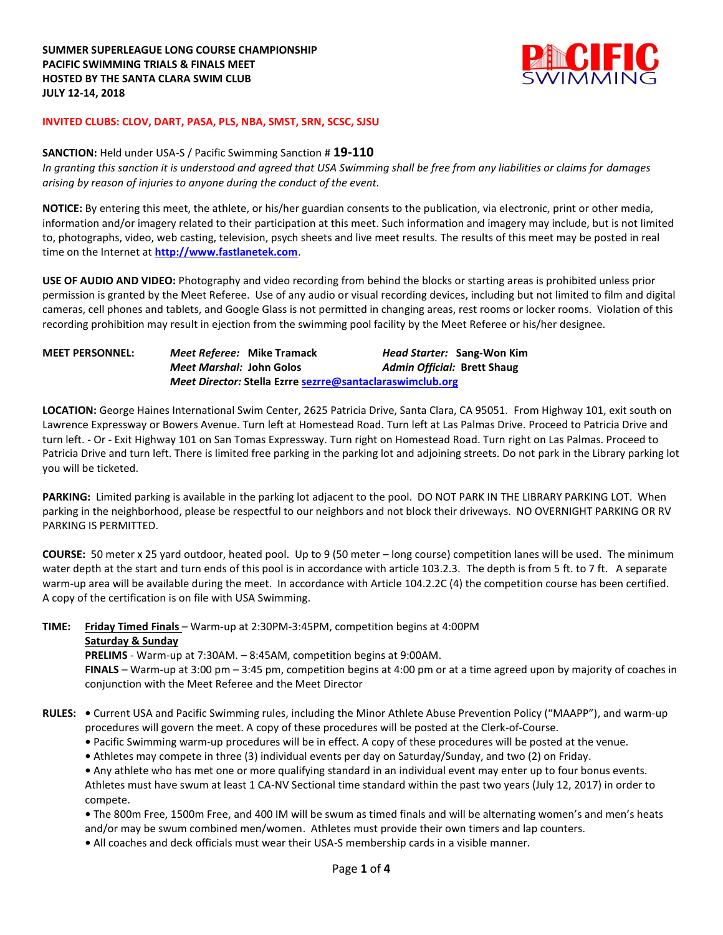

## **INVITED CLUBS: CLOV, DART, PASA, PLS, NBA, SMST, SRN, SCSC, SJSU**

## **SANCTION:** Held under USA-S / Pacific Swimming Sanction # **19-110**

*In granting this sanction it is understood and agreed that USA Swimming shall be free from any liabilities or claims for damages arising by reason of injuries to anyone during the conduct of the event.*

**NOTICE:** By entering this meet, the athlete, or his/her guardian consents to the publication, via electronic, print or other media, information and/or imagery related to their participation at this meet. Such information and imagery may include, but is not limited to, photographs, video, web casting, television, psych sheets and live meet results. The results of this meet may be posted in real time on the Internet at **[http://www.fastlanetek.com](http://www.fastlanetek.com/)**.

**USE OF AUDIO AND VIDEO:** Photography and video recording from behind the blocks or starting areas is prohibited unless prior permission is granted by the Meet Referee. Use of any audio or visual recording devices, including but not limited to film and digital cameras, cell phones and tablets, and Google Glass is not permitted in changing areas, rest rooms or locker rooms. Violation of this recording prohibition may result in ejection from the swimming pool facility by the Meet Referee or his/her designee.

| <b>MEET PERSONNEL:</b> | <i>Meet Referee:</i> Mike Tramack                         | Head Starter: Sang-Won Kim         |  |  |
|------------------------|-----------------------------------------------------------|------------------------------------|--|--|
|                        | Meet Marshal: John Golos                                  | <b>Admin Official: Brett Shaug</b> |  |  |
|                        | Meet Director: Stella Ezrre sezrre@santaclaraswimclub.org |                                    |  |  |

**LOCATION:** George Haines International Swim Center, 2625 Patricia Drive, Santa Clara, CA 95051. From Highway 101, exit south on Lawrence Expressway or Bowers Avenue. Turn left at Homestead Road. Turn left at Las Palmas Drive. Proceed to Patricia Drive and turn left. - Or - Exit Highway 101 on San Tomas Expressway. Turn right on Homestead Road. Turn right on Las Palmas. Proceed to Patricia Drive and turn left. There is limited free parking in the parking lot and adjoining streets. Do not park in the Library parking lot you will be ticketed.

**PARKING:** Limited parking is available in the parking lot adjacent to the pool. DO NOT PARK IN THE LIBRARY PARKING LOT. When parking in the neighborhood, please be respectful to our neighbors and not block their driveways. NO OVERNIGHT PARKING OR RV PARKING IS PERMITTED.

**COURSE:** 50 meter x 25 yard outdoor, heated pool. Up to 9 (50 meter – long course) competition lanes will be used. The minimum water depth at the start and turn ends of this pool is in accordance with article 103.2.3. The depth is from 5 ft. to 7 ft. A separate warm-up area will be available during the meet. In accordance with Article 104.2.2C (4) the competition course has been certified. A copy of the certification is on file with USA Swimming.

**TIME: Friday Timed Finals** – Warm-up at 2:30PM-3:45PM, competition begins at 4:00PM **Saturday & Sunday**

**PRELIMS** - Warm-up at 7:30AM. – 8:45AM, competition begins at 9:00AM.

**FINALS** – Warm-up at 3:00 pm – 3:45 pm, competition begins at 4:00 pm or at a time agreed upon by majority of coaches in conjunction with the Meet Referee and the Meet Director

**RULES: •** Current USA and Pacific Swimming rules, including the Minor Athlete Abuse Prevention Policy ("MAAPP"), and warm-up procedures will govern the meet. A copy of these procedures will be posted at the Clerk-of-Course.

**•** Pacific Swimming warm-up procedures will be in effect. A copy of these procedures will be posted at the venue.

**•** Athletes may compete in three (3) individual events per day on Saturday/Sunday, and two (2) on Friday.

**•** Any athlete who has met one or more qualifying standard in an individual event may enter up to four bonus events. Athletes must have swum at least 1 CA-NV Sectional time standard within the past two years (July 12, 2017) in order to compete.

**•** The 800m Free, 1500m Free, and 400 IM will be swum as timed finals and will be alternating women's and men's heats and/or may be swum combined men/women. Athletes must provide their own timers and lap counters.

**•** All coaches and deck officials must wear their USA-S membership cards in a visible manner.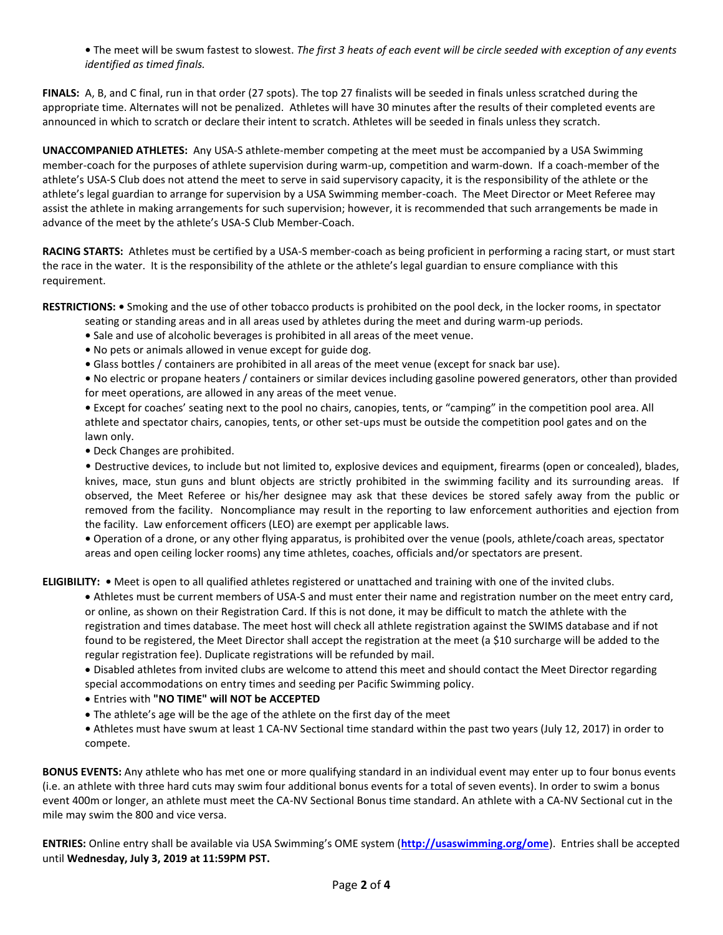**•** The meet will be swum fastest to slowest. *The first 3 heats of each event will be circle seeded with exception of any events identified as timed finals.*

**FINALS:** A, B, and C final, run in that order (27 spots). The top 27 finalists will be seeded in finals unless scratched during the appropriate time. Alternates will not be penalized. Athletes will have 30 minutes after the results of their completed events are announced in which to scratch or declare their intent to scratch. Athletes will be seeded in finals unless they scratch.

**UNACCOMPANIED ATHLETES:** Any USA-S athlete-member competing at the meet must be accompanied by a USA Swimming member-coach for the purposes of athlete supervision during warm-up, competition and warm-down. If a coach-member of the athlete's USA-S Club does not attend the meet to serve in said supervisory capacity, it is the responsibility of the athlete or the athlete's legal guardian to arrange for supervision by a USA Swimming member-coach. The Meet Director or Meet Referee may assist the athlete in making arrangements for such supervision; however, it is recommended that such arrangements be made in advance of the meet by the athlete's USA-S Club Member-Coach.

**RACING STARTS:** Athletes must be certified by a USA-S member-coach as being proficient in performing a racing start, or must start the race in the water. It is the responsibility of the athlete or the athlete's legal guardian to ensure compliance with this requirement.

**RESTRICTIONS: •** Smoking and the use of other tobacco products is prohibited on the pool deck, in the locker rooms, in spectator

seating or standing areas and in all areas used by athletes during the meet and during warm-up periods.

- **•** Sale and use of alcoholic beverages is prohibited in all areas of the meet venue.
- **•** No pets or animals allowed in venue except for guide dog.
- **•** Glass bottles / containers are prohibited in all areas of the meet venue (except for snack bar use).

**•** No electric or propane heaters / containers or similar devices including gasoline powered generators, other than provided for meet operations, are allowed in any areas of the meet venue.

**•** Except for coaches' seating next to the pool no chairs, canopies, tents, or "camping" in the competition pool area. All athlete and spectator chairs, canopies, tents, or other set-ups must be outside the competition pool gates and on the lawn only.

**•** Deck Changes are prohibited.

• Destructive devices, to include but not limited to, explosive devices and equipment, firearms (open or concealed), blades, knives, mace, stun guns and blunt objects are strictly prohibited in the swimming facility and its surrounding areas. If observed, the Meet Referee or his/her designee may ask that these devices be stored safely away from the public or removed from the facility. Noncompliance may result in the reporting to law enforcement authorities and ejection from the facility. Law enforcement officers (LEO) are exempt per applicable laws.

**•** Operation of a drone, or any other flying apparatus, is prohibited over the venue (pools, athlete/coach areas, spectator areas and open ceiling locker rooms) any time athletes, coaches, officials and/or spectators are present.

**ELIGIBILITY: •** Meet is open to all qualified athletes registered or unattached and training with one of the invited clubs.

 Athletes must be current members of USA-S and must enter their name and registration number on the meet entry card, or online, as shown on their Registration Card. If this is not done, it may be difficult to match the athlete with the registration and times database. The meet host will check all athlete registration against the SWIMS database and if not found to be registered, the Meet Director shall accept the registration at the meet (a \$10 surcharge will be added to the regular registration fee). Duplicate registrations will be refunded by mail.

 Disabled athletes from invited clubs are welcome to attend this meet and should contact the Meet Director regarding special accommodations on entry times and seeding per Pacific Swimming policy.

- Entries with **"NO TIME" will NOT be ACCEPTED**
- The athlete's age will be the age of the athlete on the first day of the meet
- **•** Athletes must have swum at least 1 CA-NV Sectional time standard within the past two years (July 12, 2017) in order to compete.

**BONUS EVENTS:** Any athlete who has met one or more qualifying standard in an individual event may enter up to four bonus events (i.e. an athlete with three hard cuts may swim four additional bonus events for a total of seven events). In order to swim a bonus event 400m or longer, an athlete must meet the CA-NV Sectional Bonus time standard. An athlete with a CA-NV Sectional cut in the mile may swim the 800 and vice versa.

**ENTRIES:** Online entry shall be available via USA Swimming's OME system (**<http://usaswimming.org/ome>**). Entries shall be accepted until **Wednesday, July 3, 2019 at 11:59PM PST.**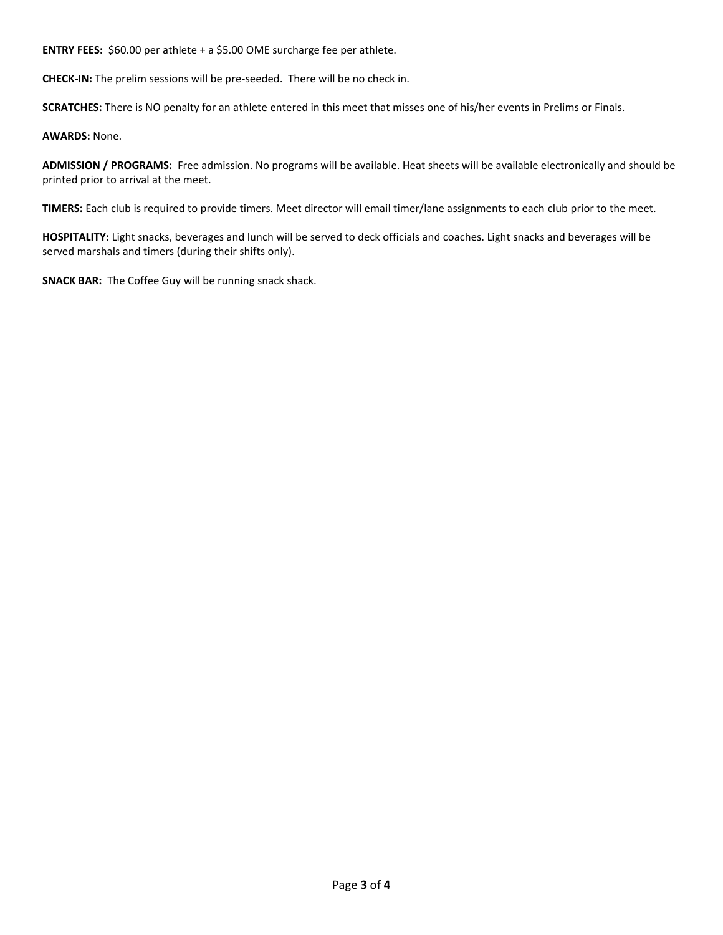**ENTRY FEES:** \$60.00 per athlete + a \$5.00 OME surcharge fee per athlete.

**CHECK-IN:** The prelim sessions will be pre-seeded. There will be no check in.

**SCRATCHES:** There is NO penalty for an athlete entered in this meet that misses one of his/her events in Prelims or Finals.

**AWARDS:** None.

**ADMISSION / PROGRAMS:** Free admission. No programs will be available. Heat sheets will be available electronically and should be printed prior to arrival at the meet.

**TIMERS:** Each club is required to provide timers. Meet director will email timer/lane assignments to each club prior to the meet.

**HOSPITALITY:** Light snacks, beverages and lunch will be served to deck officials and coaches. Light snacks and beverages will be served marshals and timers (during their shifts only).

**SNACK BAR:** The Coffee Guy will be running snack shack.